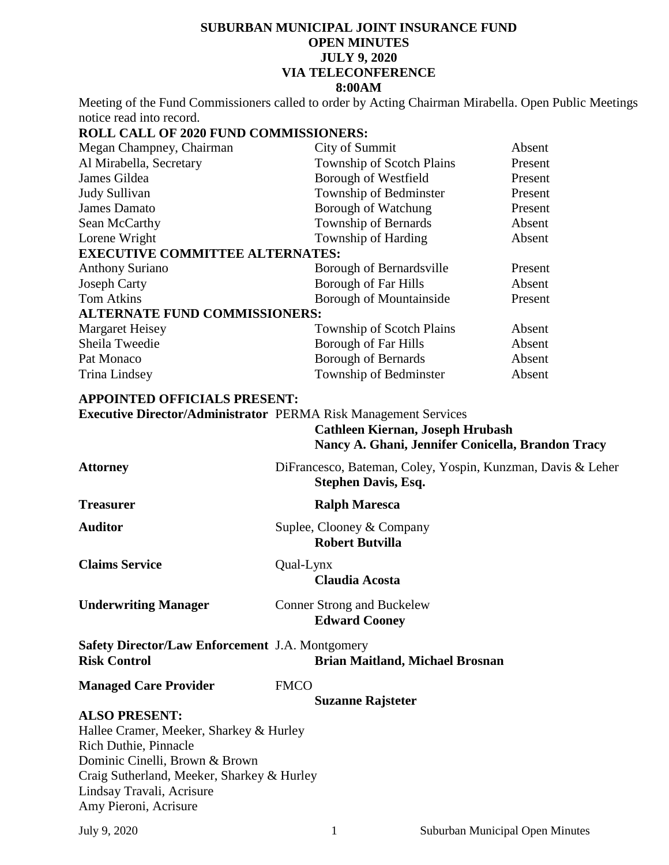## **SUBURBAN MUNICIPAL JOINT INSURANCE FUND OPEN MINUTES JULY 9, 2020 VIA TELECONFERENCE 8:00AM**

Meeting of the Fund Commissioners called to order by Acting Chairman Mirabella. Open Public Meetings notice read into record.

## **ROLL CALL OF 2020 FUND COMMISSIONERS:**

| City of Summit                         | Absent  |  |  |  |
|----------------------------------------|---------|--|--|--|
| Township of Scotch Plains              | Present |  |  |  |
| Borough of Westfield                   | Present |  |  |  |
| Township of Bedminster                 | Present |  |  |  |
| Borough of Watchung                    | Present |  |  |  |
| Township of Bernards                   | Absent  |  |  |  |
| Township of Harding                    | Absent  |  |  |  |
| <b>EXECUTIVE COMMITTEE ALTERNATES:</b> |         |  |  |  |
| Borough of Bernardsville               | Present |  |  |  |
| <b>Borough of Far Hills</b>            | Absent  |  |  |  |
| <b>Borough of Mountainside</b>         | Present |  |  |  |
| <b>ALTERNATE FUND COMMISSIONERS:</b>   |         |  |  |  |
| <b>Township of Scotch Plains</b>       | Absent  |  |  |  |
| <b>Borough of Far Hills</b>            | Absent  |  |  |  |
| <b>Borough of Bernards</b>             | Absent  |  |  |  |
| Township of Bedminster                 | Absent  |  |  |  |
|                                        |         |  |  |  |

# **APPOINTED OFFICIALS PRESENT:**

**Executive Director/Administrator** PERMA Risk Management Services **Cathleen Kiernan, Joseph Hrubash**

| Nancy A. Ghani, Jennifer Conicella, Brandon Tracy                                                |
|--------------------------------------------------------------------------------------------------|
| DiFrancesco, Bateman, Coley, Yospin, Kunzman, Davis & Leher<br><b>Stephen Davis, Esq.</b>        |
| <b>Ralph Maresca</b>                                                                             |
| Suplee, Clooney & Company<br><b>Robert Butvilla</b>                                              |
| Qual-Lynx<br><b>Claudia Acosta</b>                                                               |
| <b>Conner Strong and Buckelew</b><br><b>Edward Cooney</b>                                        |
| <b>Safety Director/Law Enforcement J.A. Montgomery</b><br><b>Brian Maitland, Michael Brosnan</b> |
| <b>FMCO</b>                                                                                      |
| <b>Suzanne Rajsteter</b>                                                                         |
| Hallee Cramer, Meeker, Sharkey & Hurley<br>Craig Sutherland, Meeker, Sharkey & Hurley            |
|                                                                                                  |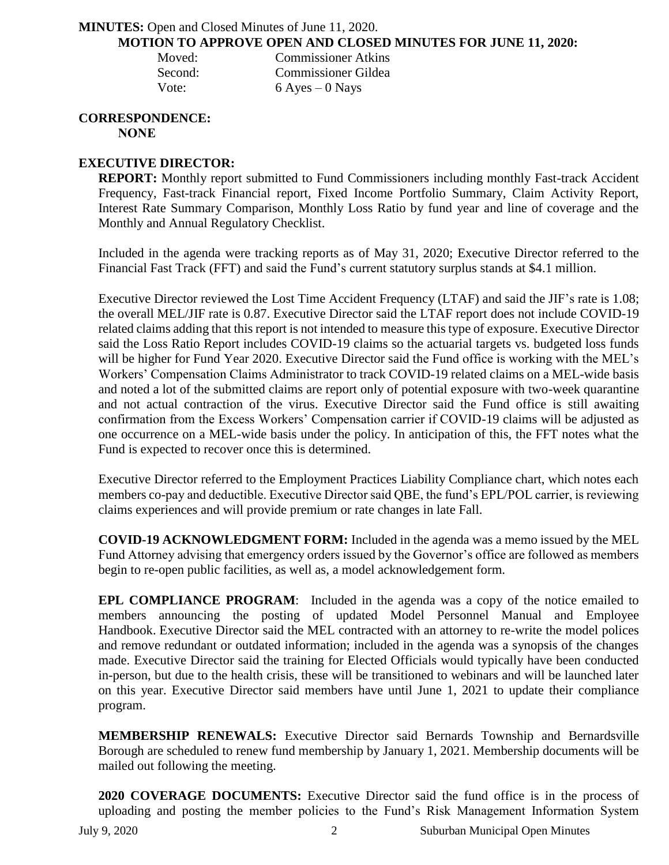### **MINUTES:** Open and Closed Minutes of June 11, 2020. **MOTION TO APPROVE OPEN AND CLOSED MINUTES FOR JUNE 11, 2020:**

| Moved:  | <b>Commissioner Atkins</b> |
|---------|----------------------------|
| Second: | Commissioner Gildea        |
| Vote:   | $6$ Ayes $-0$ Nays         |

#### **CORRESPONDENCE: NONE**

# **EXECUTIVE DIRECTOR:**

**REPORT:** Monthly report submitted to Fund Commissioners including monthly Fast-track Accident Frequency, Fast-track Financial report, Fixed Income Portfolio Summary, Claim Activity Report, Interest Rate Summary Comparison, Monthly Loss Ratio by fund year and line of coverage and the Monthly and Annual Regulatory Checklist.

Included in the agenda were tracking reports as of May 31, 2020; Executive Director referred to the Financial Fast Track (FFT) and said the Fund's current statutory surplus stands at \$4.1 million.

Executive Director reviewed the Lost Time Accident Frequency (LTAF) and said the JIF's rate is 1.08; the overall MEL/JIF rate is 0.87. Executive Director said the LTAF report does not include COVID-19 related claims adding that this report is not intended to measure this type of exposure. Executive Director said the Loss Ratio Report includes COVID-19 claims so the actuarial targets vs. budgeted loss funds will be higher for Fund Year 2020. Executive Director said the Fund office is working with the MEL's Workers' Compensation Claims Administrator to track COVID-19 related claims on a MEL-wide basis and noted a lot of the submitted claims are report only of potential exposure with two-week quarantine and not actual contraction of the virus. Executive Director said the Fund office is still awaiting confirmation from the Excess Workers' Compensation carrier if COVID-19 claims will be adjusted as one occurrence on a MEL-wide basis under the policy. In anticipation of this, the FFT notes what the Fund is expected to recover once this is determined.

Executive Director referred to the Employment Practices Liability Compliance chart, which notes each members co-pay and deductible. Executive Director said QBE, the fund's EPL/POL carrier, is reviewing claims experiences and will provide premium or rate changes in late Fall.

**COVID-19 ACKNOWLEDGMENT FORM:** Included in the agenda was a memo issued by the MEL Fund Attorney advising that emergency orders issued by the Governor's office are followed as members begin to re-open public facilities, as well as, a model acknowledgement form.

**EPL COMPLIANCE PROGRAM:** Included in the agenda was a copy of the notice emailed to members announcing the posting of updated Model Personnel Manual and Employee Handbook. Executive Director said the MEL contracted with an attorney to re-write the model polices and remove redundant or outdated information; included in the agenda was a synopsis of the changes made. Executive Director said the training for Elected Officials would typically have been conducted in-person, but due to the health crisis, these will be transitioned to webinars and will be launched later on this year. Executive Director said members have until June 1, 2021 to update their compliance program.

**MEMBERSHIP RENEWALS:** Executive Director said Bernards Township and Bernardsville Borough are scheduled to renew fund membership by January 1, 2021. Membership documents will be mailed out following the meeting.

**2020 COVERAGE DOCUMENTS:** Executive Director said the fund office is in the process of uploading and posting the member policies to the Fund's Risk Management Information System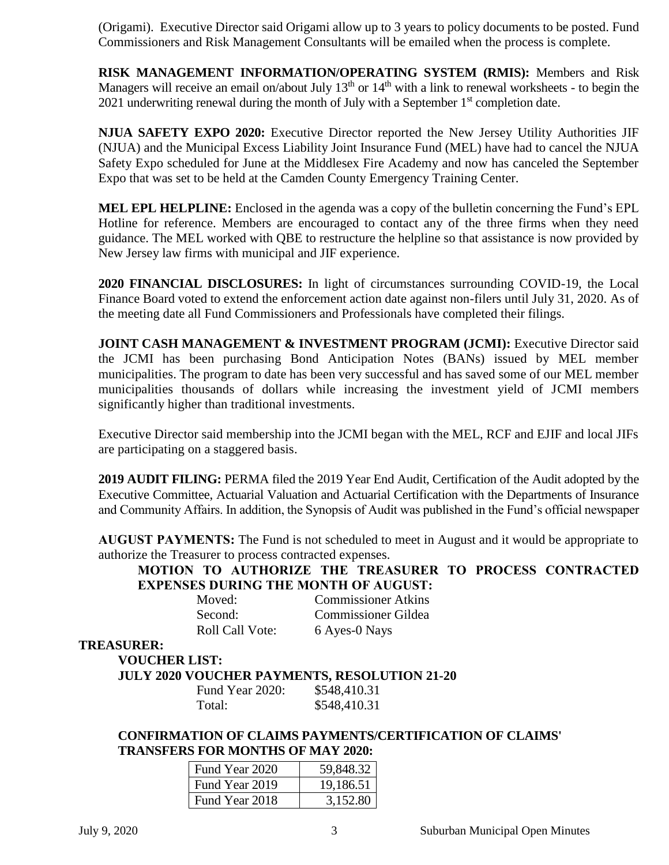(Origami). Executive Director said Origami allow up to 3 years to policy documents to be posted. Fund Commissioners and Risk Management Consultants will be emailed when the process is complete.

**RISK MANAGEMENT INFORMATION/OPERATING SYSTEM (RMIS):** Members and Risk Managers will receive an email on/about July  $13<sup>th</sup>$  or  $14<sup>th</sup>$  with a link to renewal worksheets - to begin the 2021 underwriting renewal during the month of July with a September  $1<sup>st</sup>$  completion date.

**NJUA SAFETY EXPO 2020:** Executive Director reported the New Jersey Utility Authorities JIF (NJUA) and the Municipal Excess Liability Joint Insurance Fund (MEL) have had to cancel the NJUA Safety Expo scheduled for June at the Middlesex Fire Academy and now has canceled the September Expo that was set to be held at the Camden County Emergency Training Center.

**MEL EPL HELPLINE:** Enclosed in the agenda was a copy of the bulletin concerning the Fund's EPL Hotline for reference. Members are encouraged to contact any of the three firms when they need guidance. The MEL worked with QBE to restructure the helpline so that assistance is now provided by New Jersey law firms with municipal and JIF experience.

**2020 FINANCIAL DISCLOSURES:** In light of circumstances surrounding COVID-19, the Local Finance Board voted to extend the enforcement action date against non-filers until July 31, 2020. As of the meeting date all Fund Commissioners and Professionals have completed their filings.

**JOINT CASH MANAGEMENT & INVESTMENT PROGRAM (JCMI):** Executive Director said the JCMI has been purchasing Bond Anticipation Notes (BANs) issued by MEL member municipalities. The program to date has been very successful and has saved some of our MEL member municipalities thousands of dollars while increasing the investment yield of JCMI members significantly higher than traditional investments.

Executive Director said membership into the JCMI began with the MEL, RCF and EJIF and local JIFs are participating on a staggered basis.

**2019 AUDIT FILING:** PERMA filed the 2019 Year End Audit, Certification of the Audit adopted by the Executive Committee, Actuarial Valuation and Actuarial Certification with the Departments of Insurance and Community Affairs. In addition, the Synopsis of Audit was published in the Fund's official newspaper

**AUGUST PAYMENTS:** The Fund is not scheduled to meet in August and it would be appropriate to authorize the Treasurer to process contracted expenses.

**MOTION TO AUTHORIZE THE TREASURER TO PROCESS CONTRACTED EXPENSES DURING THE MONTH OF AUGUST:**

| Moved:                 | <b>Commissioner Atkins</b> |
|------------------------|----------------------------|
| Second:                | <b>Commissioner Gildea</b> |
| <b>Roll Call Vote:</b> | 6 Ayes-0 Nays              |

### **TREASURER:**

**VOUCHER LIST:** 

**JULY 2020 VOUCHER PAYMENTS, RESOLUTION 21-20**

| Fund Year 2020: | \$548,410.31 |
|-----------------|--------------|
| Total:          | \$548,410.31 |

**CONFIRMATION OF CLAIMS PAYMENTS/CERTIFICATION OF CLAIMS' TRANSFERS FOR MONTHS OF MAY 2020:**

| Fund Year 2020 | 59,848.32 |
|----------------|-----------|
| Fund Year 2019 | 19,186.51 |
| Fund Year 2018 | 3.152.80  |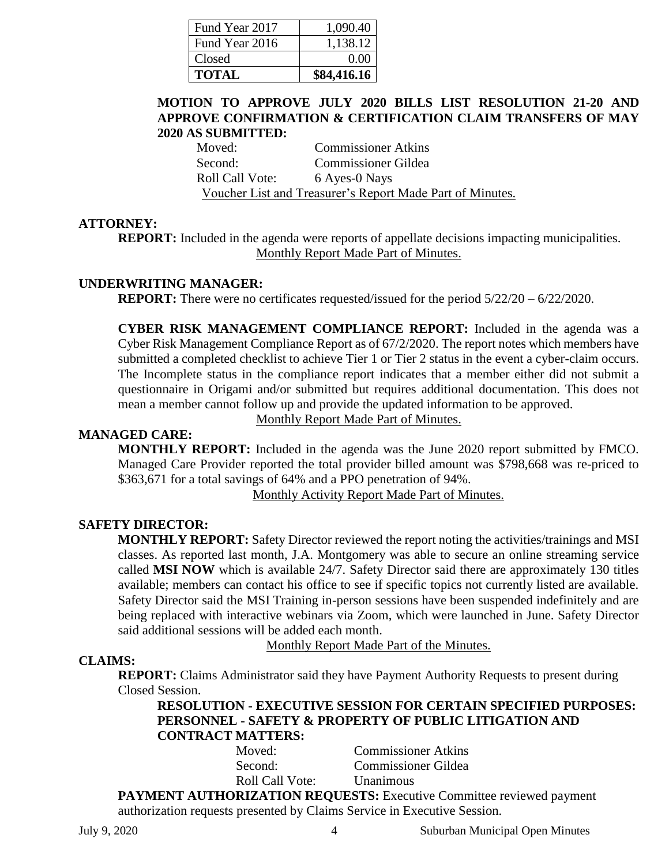| Fund Year 2017 | 1,090.40    |
|----------------|-------------|
| Fund Year 2016 | 1,138.12    |
| Closed         | 0.00        |
| <b>TOTAL</b>   | \$84,416.16 |

# **MOTION TO APPROVE JULY 2020 BILLS LIST RESOLUTION 21-20 AND APPROVE CONFIRMATION & CERTIFICATION CLAIM TRANSFERS OF MAY 2020 AS SUBMITTED:**

Moved: Commissioner Atkins Second: Commissioner Gildea Roll Call Vote: 6 Ayes-0 Nays Voucher List and Treasurer's Report Made Part of Minutes.

# **ATTORNEY:**

**REPORT:** Included in the agenda were reports of appellate decisions impacting municipalities. Monthly Report Made Part of Minutes.

### **UNDERWRITING MANAGER:**

**REPORT:** There were no certificates requested/issued for the period  $5/22/20 - 6/22/2020$ .

**CYBER RISK MANAGEMENT COMPLIANCE REPORT:** Included in the agenda was a Cyber Risk Management Compliance Report as of 67/2/2020. The report notes which members have submitted a completed checklist to achieve Tier 1 or Tier 2 status in the event a cyber-claim occurs. The Incomplete status in the compliance report indicates that a member either did not submit a questionnaire in Origami and/or submitted but requires additional documentation. This does not mean a member cannot follow up and provide the updated information to be approved.

Monthly Report Made Part of Minutes.

# **MANAGED CARE:**

**MONTHLY REPORT:** Included in the agenda was the June 2020 report submitted by FMCO. Managed Care Provider reported the total provider billed amount was \$798,668 was re-priced to \$363,671 for a total savings of 64% and a PPO penetration of 94%.

Monthly Activity Report Made Part of Minutes.

# **SAFETY DIRECTOR:**

**MONTHLY REPORT:** Safety Director reviewed the report noting the activities/trainings and MSI classes. As reported last month, J.A. Montgomery was able to secure an online streaming service called **MSI NOW** which is available 24/7. Safety Director said there are approximately 130 titles available; members can contact his office to see if specific topics not currently listed are available. Safety Director said the MSI Training in-person sessions have been suspended indefinitely and are being replaced with interactive webinars via Zoom, which were launched in June. Safety Director said additional sessions will be added each month.

Monthly Report Made Part of the Minutes.

# **CLAIMS:**

**REPORT:** Claims Administrator said they have Payment Authority Requests to present during Closed Session.

**RESOLUTION - EXECUTIVE SESSION FOR CERTAIN SPECIFIED PURPOSES: PERSONNEL - SAFETY & PROPERTY OF PUBLIC LITIGATION AND CONTRACT MATTERS:**

| Moved:                                                                      | <b>Commissioner Atkins</b> |  |  |
|-----------------------------------------------------------------------------|----------------------------|--|--|
| Second:                                                                     | <b>Commissioner Gildea</b> |  |  |
| <b>Roll Call Vote:</b>                                                      | <b>Unanimous</b>           |  |  |
| <b>PAYMENT AUTHORIZATION REQUESTS:</b> Executive Committee reviewed payment |                            |  |  |
| authorization requests presented by Claims Service in Executive Session.    |                            |  |  |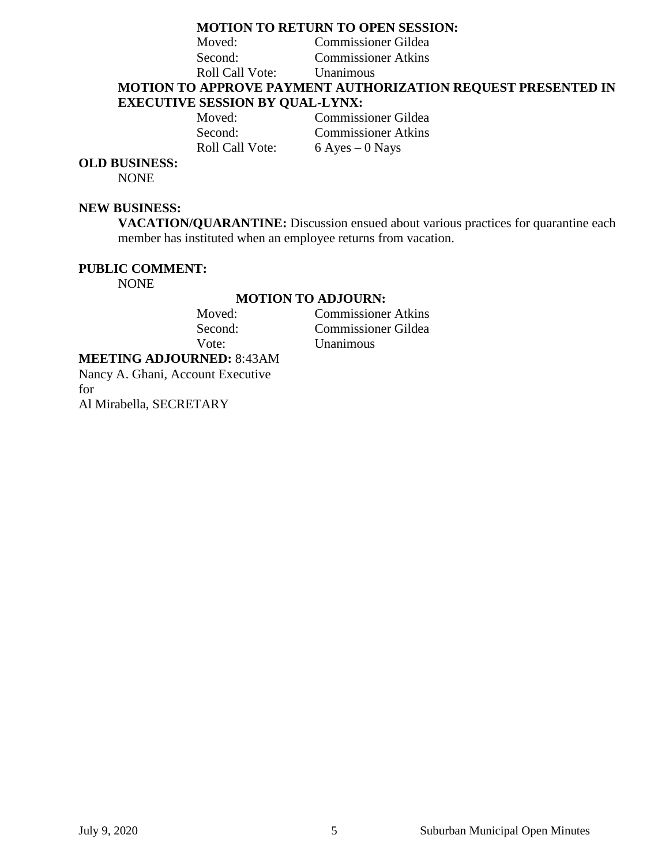# **MOTION TO RETURN TO OPEN SESSION:**

Moved: Commissioner Gildea

Second: Commissioner Atkins Roll Call Vote: Unanimous

**MOTION TO APPROVE PAYMENT AUTHORIZATION REQUEST PRESENTED IN EXECUTIVE SESSION BY QUAL-LYNX:**

Moved: Commissioner Gildea Second: Commissioner Atkins Roll Call Vote:  $6$  Ayes – 0 Nays

# **OLD BUSINESS:**

NONE

#### **NEW BUSINESS:**

**VACATION/QUARANTINE:** Discussion ensued about various practices for quarantine each member has instituted when an employee returns from vacation.

#### **PUBLIC COMMENT:**

NONE

# **MOTION TO ADJOURN:**<br> **Moved:** Commissioner

**Commissioner Atkins** Second: Commissioner Gildea Vote: Unanimous

**MEETING ADJOURNED:** 8:43AM Nancy A. Ghani, Account Executive

for

Al Mirabella, SECRETARY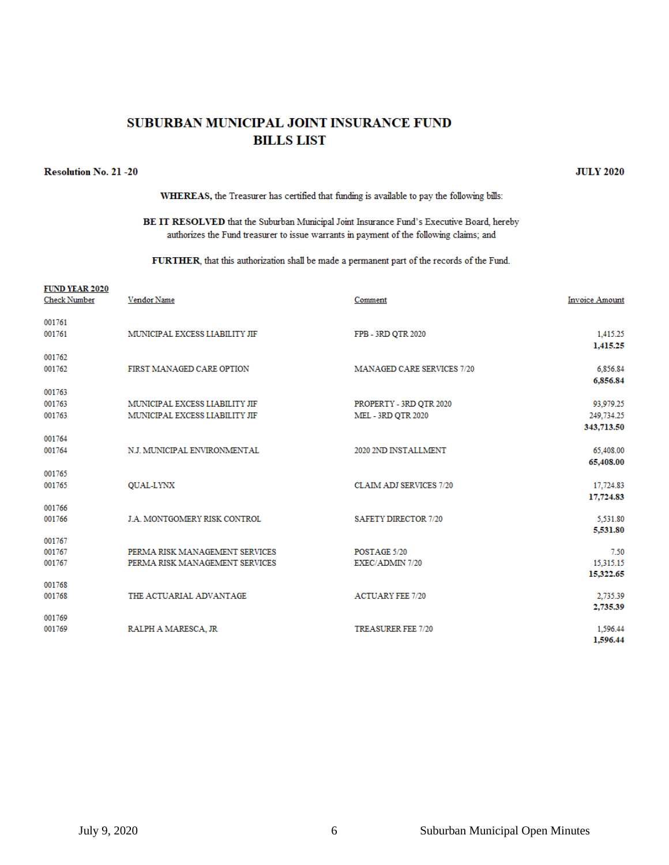# SUBURBAN MUNICIPAL JOINT INSURANCE FUND **BILLS LIST**

#### **Resolution No. 21 -20**

WHEREAS, the Treasurer has certified that funding is available to pay the following bills:

#### BE IT RESOLVED that the Suburban Municipal Joint Insurance Fund's Executive Board, hereby authorizes the Fund treasurer to issue warrants in payment of the following claims; and

FURTHER, that this authorization shall be made a permanent part of the records of the Fund.

| <b>FUND YEAR 2020</b><br><b>Check Number</b> | Vendor Name                    | Comment                           | <b>Invoice Amount</b> |
|----------------------------------------------|--------------------------------|-----------------------------------|-----------------------|
| 001761                                       |                                |                                   |                       |
| 001761                                       | MUNICIPAL EXCESS LIABILITY JIF | FPB - 3RD QTR 2020                | 1,415.25<br>1,415.25  |
| 001762                                       |                                |                                   |                       |
| 001762                                       | FIRST MANAGED CARE OPTION      | <b>MANAGED CARE SERVICES 7/20</b> | 6,856.84              |
| 001763                                       |                                |                                   | 6,856.84              |
| 001763                                       | MUNICIPAL EXCESS LIABILITY JIF | PROPERTY - 3RD QTR 2020           | 93,979.25             |
| 001763                                       | MUNICIPAL EXCESS LIABILITY JIF | <b>MEL - 3RD OTR 2020</b>         | 249,734.25            |
|                                              |                                |                                   | 343,713.50            |
| 001764<br>001764                             | N.J. MUNICIPAL ENVIRONMENTAL   | 2020 2ND INSTALLMENT              | 65,408.00             |
|                                              |                                |                                   | 65,408.00             |
| 001765                                       |                                |                                   |                       |
| 001765                                       | <b>OUAL-LYNX</b>               | <b>CLAIM ADJ SERVICES 7/20</b>    | 17,724.83             |
| 001766                                       |                                |                                   | 17,724.83             |
| 001766                                       | J.A. MONTGOMERY RISK CONTROL   | <b>SAFETY DIRECTOR 7/20</b>       | 5,531.80              |
|                                              |                                |                                   | 5,531.80              |
| 001767<br>001767                             | PERMA RISK MANAGEMENT SERVICES | POSTAGE 5/20                      | 7.50                  |
| 001767                                       | PERMA RISK MANAGEMENT SERVICES | EXEC/ADMIN 7/20                   | 15,315.15             |
|                                              |                                |                                   | 15,322.65             |
| 001768<br>001768                             | THE ACTUARIAL ADVANTAGE        | <b>ACTUARY FEE 7/20</b>           | 2,735.39              |
|                                              |                                |                                   | 2,735.39              |
| 001769                                       |                                |                                   |                       |
| 001769                                       | RALPH A MARESCA, JR            | <b>TREASURER FEE 7/20</b>         | 1,596.44<br>1.596.44  |